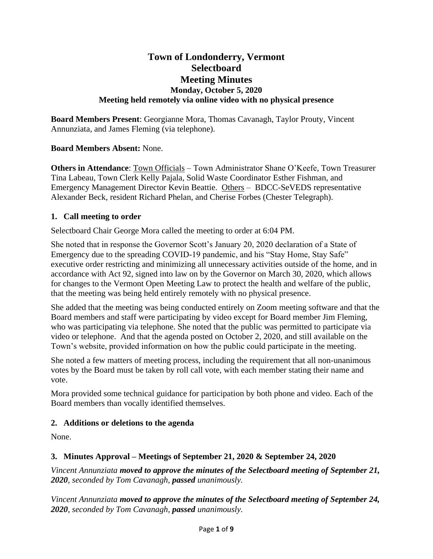# **Town of Londonderry, Vermont Selectboard Meeting Minutes Monday, October 5, 2020 Meeting held remotely via online video with no physical presence**

**Board Members Present**: Georgianne Mora, Thomas Cavanagh, Taylor Prouty, Vincent Annunziata, and James Fleming (via telephone).

### **Board Members Absent:** None.

**Others in Attendance**: Town Officials – Town Administrator Shane O'Keefe, Town Treasurer Tina Labeau, Town Clerk Kelly Pajala, Solid Waste Coordinator Esther Fishman, and Emergency Management Director Kevin Beattie. Others – BDCC-SeVEDS representative Alexander Beck, resident Richard Phelan, and Cherise Forbes (Chester Telegraph).

### **1. Call meeting to order**

Selectboard Chair George Mora called the meeting to order at 6:04 PM.

She noted that in response the Governor Scott's January 20, 2020 declaration of a State of Emergency due to the spreading COVID-19 pandemic, and his "Stay Home, Stay Safe" executive order restricting and minimizing all unnecessary activities outside of the home, and in accordance with Act 92, signed into law on by the Governor on March 30, 2020, which allows for changes to the Vermont Open Meeting Law to protect the health and welfare of the public, that the meeting was being held entirely remotely with no physical presence.

She added that the meeting was being conducted entirely on Zoom meeting software and that the Board members and staff were participating by video except for Board member Jim Fleming, who was participating via telephone. She noted that the public was permitted to participate via video or telephone. And that the agenda posted on October 2, 2020, and still available on the Town's website, provided information on how the public could participate in the meeting.

She noted a few matters of meeting process, including the requirement that all non-unanimous votes by the Board must be taken by roll call vote, with each member stating their name and vote.

Mora provided some technical guidance for participation by both phone and video. Each of the Board members than vocally identified themselves.

### **2. Additions or deletions to the agenda**

None.

### **3. Minutes Approval – Meetings of September 21, 2020 & September 24, 2020**

*Vincent Annunziata moved to approve the minutes of the Selectboard meeting of September 21, 2020, seconded by Tom Cavanagh, passed unanimously.*

*Vincent Annunziata moved to approve the minutes of the Selectboard meeting of September 24, 2020, seconded by Tom Cavanagh, passed unanimously.*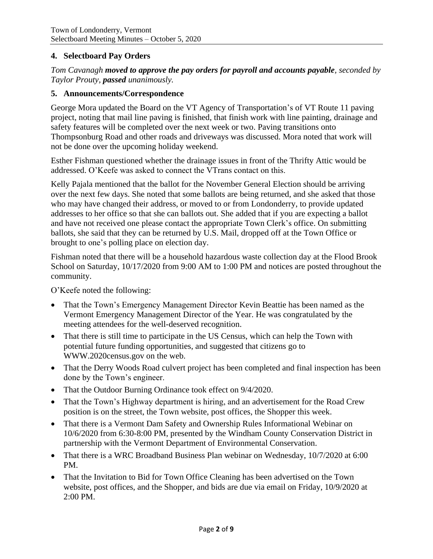#### **4. Selectboard Pay Orders**

*Tom Cavanagh moved to approve the pay orders for payroll and accounts payable, seconded by Taylor Prouty, passed unanimously.*

#### **5. Announcements/Correspondence**

George Mora updated the Board on the VT Agency of Transportation's of VT Route 11 paving project, noting that mail line paving is finished, that finish work with line painting, drainage and safety features will be completed over the next week or two. Paving transitions onto Thompsonburg Road and other roads and driveways was discussed. Mora noted that work will not be done over the upcoming holiday weekend.

Esther Fishman questioned whether the drainage issues in front of the Thrifty Attic would be addressed. O'Keefe was asked to connect the VTrans contact on this.

Kelly Pajala mentioned that the ballot for the November General Election should be arriving over the next few days. She noted that some ballots are being returned, and she asked that those who may have changed their address, or moved to or from Londonderry, to provide updated addresses to her office so that she can ballots out. She added that if you are expecting a ballot and have not received one please contact the appropriate Town Clerk's office. On submitting ballots, she said that they can be returned by U.S. Mail, dropped off at the Town Office or brought to one's polling place on election day.

Fishman noted that there will be a household hazardous waste collection day at the Flood Brook School on Saturday, 10/17/2020 from 9:00 AM to 1:00 PM and notices are posted throughout the community.

O'Keefe noted the following:

- That the Town's Emergency Management Director Kevin Beattie has been named as the Vermont Emergency Management Director of the Year. He was congratulated by the meeting attendees for the well-deserved recognition.
- That there is still time to participate in the US Census, which can help the Town with potential future funding opportunities, and suggested that citizens go to [WWW.2020census.gov](http://www.2020census.gov/) on the web.
- That the Derry Woods Road culvert project has been completed and final inspection has been done by the Town's engineer.
- That the Outdoor Burning Ordinance took effect on 9/4/2020.
- That the Town's Highway department is hiring, and an advertisement for the Road Crew position is on the street, the Town website, post offices, the Shopper this week.
- That there is a Vermont Dam Safety and Ownership Rules Informational Webinar on 10/6/2020 from 6:30-8:00 PM, presented by the Windham County Conservation District in partnership with the Vermont Department of Environmental Conservation.
- That there is a WRC Broadband Business Plan webinar on Wednesday, 10/7/2020 at 6:00 PM.
- That the Invitation to Bid for Town Office Cleaning has been advertised on the Town website, post offices, and the Shopper, and bids are due via email on Friday, 10/9/2020 at 2:00 PM.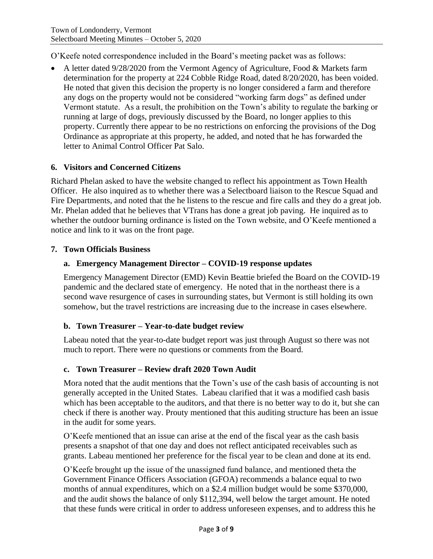O'Keefe noted correspondence included in the Board's meeting packet was as follows:

• A letter dated 9/28/2020 from the Vermont Agency of Agriculture, Food & Markets farm determination for the property at 224 Cobble Ridge Road, dated 8/20/2020, has been voided. He noted that given this decision the property is no longer considered a farm and therefore any dogs on the property would not be considered "working farm dogs" as defined under Vermont statute. As a result, the prohibition on the Town's ability to regulate the barking or running at large of dogs, previously discussed by the Board, no longer applies to this property. Currently there appear to be no restrictions on enforcing the provisions of the Dog Ordinance as appropriate at this property, he added, and noted that he has forwarded the letter to Animal Control Officer Pat Salo.

### **6. Visitors and Concerned Citizens**

Richard Phelan asked to have the website changed to reflect his appointment as Town Health Officer. He also inquired as to whether there was a Selectboard liaison to the Rescue Squad and Fire Departments, and noted that the he listens to the rescue and fire calls and they do a great job. Mr. Phelan added that he believes that VTrans has done a great job paving. He inquired as to whether the outdoor burning ordinance is listed on the Town website, and O'Keefe mentioned a notice and link to it was on the front page.

#### **7. Town Officials Business**

#### **a. Emergency Management Director – COVID-19 response updates**

Emergency Management Director (EMD) Kevin Beattie briefed the Board on the COVID-19 pandemic and the declared state of emergency. He noted that in the northeast there is a second wave resurgence of cases in surrounding states, but Vermont is still holding its own somehow, but the travel restrictions are increasing due to the increase in cases elsewhere.

#### **b. Town Treasurer – Year-to-date budget review**

Labeau noted that the year-to-date budget report was just through August so there was not much to report. There were no questions or comments from the Board.

### **c. Town Treasurer – Review draft 2020 Town Audit**

Mora noted that the audit mentions that the Town's use of the cash basis of accounting is not generally accepted in the United States. Labeau clarified that it was a modified cash basis which has been acceptable to the auditors, and that there is no better way to do it, but she can check if there is another way. Prouty mentioned that this auditing structure has been an issue in the audit for some years.

O'Keefe mentioned that an issue can arise at the end of the fiscal year as the cash basis presents a snapshot of that one day and does not reflect anticipated receivables such as grants. Labeau mentioned her preference for the fiscal year to be clean and done at its end.

O'Keefe brought up the issue of the unassigned fund balance, and mentioned theta the Government Finance Officers Association (GFOA) recommends a balance equal to two months of annual expenditures, which on a \$2.4 million budget would be some \$370,000, and the audit shows the balance of only \$112,394, well below the target amount. He noted that these funds were critical in order to address unforeseen expenses, and to address this he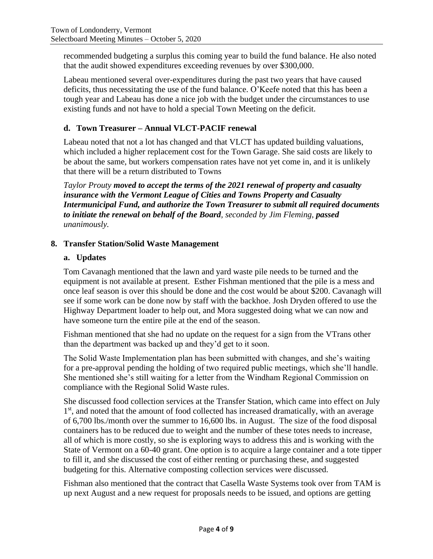recommended budgeting a surplus this coming year to build the fund balance. He also noted that the audit showed expenditures exceeding revenues by over \$300,000.

Labeau mentioned several over-expenditures during the past two years that have caused deficits, thus necessitating the use of the fund balance. O'Keefe noted that this has been a tough year and Labeau has done a nice job with the budget under the circumstances to use existing funds and not have to hold a special Town Meeting on the deficit.

# **d. Town Treasurer – Annual VLCT-PACIF renewal**

Labeau noted that not a lot has changed and that VLCT has updated building valuations, which included a higher replacement cost for the Town Garage. She said costs are likely to be about the same, but workers compensation rates have not yet come in, and it is unlikely that there will be a return distributed to Towns

*Taylor Prouty moved to accept the terms of the 2021 renewal of property and casualty insurance with the Vermont League of Cities and Towns Property and Casualty Intermunicipal Fund, and authorize the Town Treasurer to submit all required documents to initiate the renewal on behalf of the Board, seconded by Jim Fleming, passed unanimously.*

# **8. Transfer Station/Solid Waste Management**

# **a. Updates**

Tom Cavanagh mentioned that the lawn and yard waste pile needs to be turned and the equipment is not available at present. Esther Fishman mentioned that the pile is a mess and once leaf season is over this should be done and the cost would be about \$200. Cavanagh will see if some work can be done now by staff with the backhoe. Josh Dryden offered to use the Highway Department loader to help out, and Mora suggested doing what we can now and have someone turn the entire pile at the end of the season.

Fishman mentioned that she had no update on the request for a sign from the VTrans other than the department was backed up and they'd get to it soon.

The Solid Waste Implementation plan has been submitted with changes, and she's waiting for a pre-approval pending the holding of two required public meetings, which she'll handle. She mentioned she's still waiting for a letter from the Windham Regional Commission on compliance with the Regional Solid Waste rules.

She discussed food collection services at the Transfer Station, which came into effect on July 1<sup>st</sup>, and noted that the amount of food collected has increased dramatically, with an average of 6,700 lbs./month over the summer to 16,600 lbs. in August. The size of the food disposal containers has to be reduced due to weight and the number of these totes needs to increase, all of which is more costly, so she is exploring ways to address this and is working with the State of Vermont on a 60-40 grant. One option is to acquire a large container and a tote tipper to fill it, and she discussed the cost of either renting or purchasing these, and suggested budgeting for this. Alternative composting collection services were discussed.

Fishman also mentioned that the contract that Casella Waste Systems took over from TAM is up next August and a new request for proposals needs to be issued, and options are getting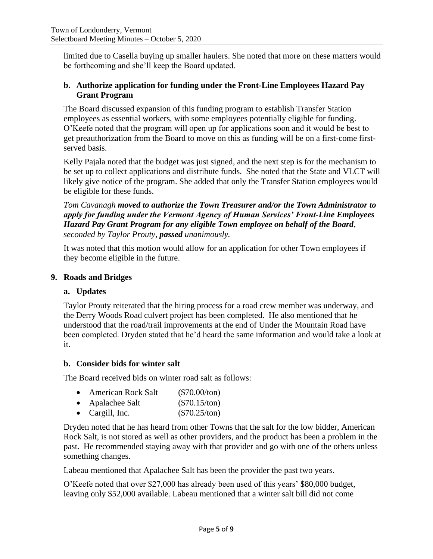limited due to Casella buying up smaller haulers. She noted that more on these matters would be forthcoming and she'll keep the Board updated.

### **b. Authorize application for funding under the Front-Line Employees Hazard Pay Grant Program**

The Board discussed expansion of this funding program to establish Transfer Station employees as essential workers, with some employees potentially eligible for funding. O'Keefe noted that the program will open up for applications soon and it would be best to get preauthorization from the Board to move on this as funding will be on a first-come firstserved basis.

Kelly Pajala noted that the budget was just signed, and the next step is for the mechanism to be set up to collect applications and distribute funds. She noted that the State and VLCT will likely give notice of the program. She added that only the Transfer Station employees would be eligible for these funds.

*Tom Cavanagh moved to authorize the Town Treasurer and/or the Town Administrator to apply for funding under the Vermont Agency of Human Services' Front-Line Employees Hazard Pay Grant Program for any eligible Town employee on behalf of the Board, seconded by Taylor Prouty, passed unanimously.*

It was noted that this motion would allow for an application for other Town employees if they become eligible in the future.

#### **9. Roads and Bridges**

### **a. Updates**

Taylor Prouty reiterated that the hiring process for a road crew member was underway, and the Derry Woods Road culvert project has been completed. He also mentioned that he understood that the road/trail improvements at the end of Under the Mountain Road have been completed. Dryden stated that he'd heard the same information and would take a look at it.

#### **b. Consider bids for winter salt**

The Board received bids on winter road salt as follows:

| $\bullet$ | <b>American Rock Salt</b> | $(\$70.00/ton)$ |
|-----------|---------------------------|-----------------|
| $\bullet$ | Apalachee Salt            | $(\$70.15/ton)$ |

• Cargill, Inc.  $($70.25/ton)$ 

Dryden noted that he has heard from other Towns that the salt for the low bidder, American Rock Salt, is not stored as well as other providers, and the product has been a problem in the past. He recommended staying away with that provider and go with one of the others unless something changes.

Labeau mentioned that Apalachee Salt has been the provider the past two years.

O'Keefe noted that over \$27,000 has already been used of this years' \$80,000 budget, leaving only \$52,000 available. Labeau mentioned that a winter salt bill did not come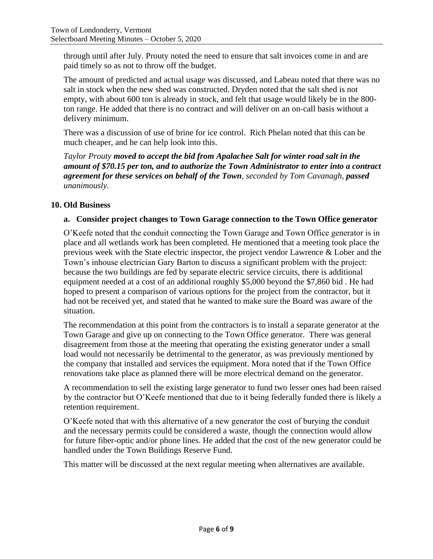through until after July. Prouty noted the need to ensure that salt invoices come in and are paid timely so as not to throw off the budget.

The amount of predicted and actual usage was discussed, and Labeau noted that there was no salt in stock when the new shed was constructed. Dryden noted that the salt shed is not empty, with about 600 ton is already in stock, and felt that usage would likely be in the 800 ton range. He added that there is no contract and will deliver on an on-call basis without a delivery minimum.

There was a discussion of use of brine for ice control. Rich Phelan noted that this can be much cheaper, and he can help look into this.

*Taylor Prouty moved to accept the bid from Apalachee Salt for winter road salt in the amount of \$70.15 per ton, and to authorize the Town Administrator to enter into a contract agreement for these services on behalf of the Town, seconded by Tom Cavanagh, passed unanimously.*

### **10. Old Business**

#### **a. Consider project changes to Town Garage connection to the Town Office generator**

O'Keefe noted that the conduit connecting the Town Garage and Town Office generator is in place and all wetlands work has been completed. He mentioned that a meeting took place the previous week with the State electric inspector, the project vendor Lawrence & Lober and the Town's inhouse electrician Gary Barton to discuss a significant problem with the project: because the two buildings are fed by separate electric service circuits, there is additional equipment needed at a cost of an additional roughly \$5,000 beyond the \$7,860 bid . He had hoped to present a comparison of various options for the project from the contractor, but it had not be received yet, and stated that he wanted to make sure the Board was aware of the situation.

The recommendation at this point from the contractors is to install a separate generator at the Town Garage and give up on connecting to the Town Office generator. There was general disagreement from those at the meeting that operating the existing generator under a small load would not necessarily be detrimental to the generator, as was previously mentioned by the company that installed and services the equipment. Mora noted that if the Town Office renovations take place as planned there will be more electrical demand on the generator.

A recommendation to sell the existing large generator to fund two lesser ones had been raised by the contractor but O'Keefe mentioned that due to it being federally funded there is likely a retention requirement.

O'Keefe noted that with this alternative of a new generator the cost of burying the conduit and the necessary permits could be considered a waste, though the connection would allow for future fiber-optic and/or phone lines. He added that the cost of the new generator could be handled under the Town Buildings Reserve Fund.

This matter will be discussed at the next regular meeting when alternatives are available.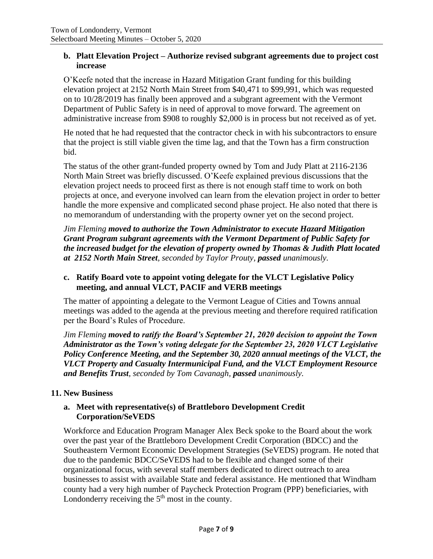#### **b. Platt Elevation Project – Authorize revised subgrant agreements due to project cost increase**

O'Keefe noted that the increase in Hazard Mitigation Grant funding for this building elevation project at 2152 North Main Street from \$40,471 to \$99,991, which was requested on to 10/28/2019 has finally been approved and a subgrant agreement with the Vermont Department of Public Safety is in need of approval to move forward. The agreement on administrative increase from \$908 to roughly \$2,000 is in process but not received as of yet.

He noted that he had requested that the contractor check in with his subcontractors to ensure that the project is still viable given the time lag, and that the Town has a firm construction bid.

The status of the other grant-funded property owned by Tom and Judy Platt at 2116-2136 North Main Street was briefly discussed. O'Keefe explained previous discussions that the elevation project needs to proceed first as there is not enough staff time to work on both projects at once, and everyone involved can learn from the elevation project in order to better handle the more expensive and complicated second phase project. He also noted that there is no memorandum of understanding with the property owner yet on the second project.

*Jim Fleming moved to authorize the Town Administrator to execute Hazard Mitigation Grant Program subgrant agreements with the Vermont Department of Public Safety for the increased budget for the elevation of property owned by Thomas & Judith Platt located at 2152 North Main Street, seconded by Taylor Prouty, passed unanimously.*

## **c. Ratify Board vote to appoint voting delegate for the VLCT Legislative Policy meeting, and annual VLCT, PACIF and VERB meetings**

The matter of appointing a delegate to the Vermont League of Cities and Towns annual meetings was added to the agenda at the previous meeting and therefore required ratification per the Board's Rules of Procedure.

*Jim Fleming moved to ratify the Board's September 21, 2020 decision to appoint the Town Administrator as the Town's voting delegate for the September 23, 2020 VLCT Legislative Policy Conference Meeting, and the September 30, 2020 annual meetings of the VLCT, the VLCT Property and Casualty Intermunicipal Fund, and the VLCT Employment Resource and Benefits Trust, seconded by Tom Cavanagh, passed unanimously.*

### **11. New Business**

### **a. Meet with representative(s) of Brattleboro Development Credit Corporation/SeVEDS**

Workforce and Education Program Manager Alex Beck spoke to the Board about the work over the past year of the Brattleboro Development Credit Corporation (BDCC) and the Southeastern Vermont Economic Development Strategies (SeVEDS) program. He noted that due to the pandemic BDCC/SeVEDS had to be flexible and changed some of their organizational focus, with several staff members dedicated to direct outreach to area businesses to assist with available State and federal assistance. He mentioned that Windham county had a very high number of Paycheck Protection Program (PPP) beneficiaries, with Londonderry receiving the  $5<sup>th</sup>$  most in the county.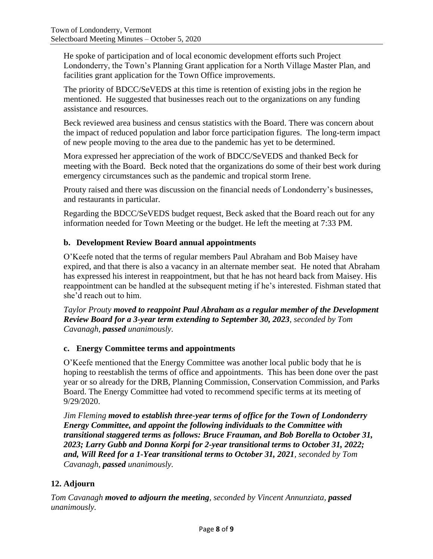He spoke of participation and of local economic development efforts such Project Londonderry, the Town's Planning Grant application for a North Village Master Plan, and facilities grant application for the Town Office improvements.

The priority of BDCC/SeVEDS at this time is retention of existing jobs in the region he mentioned. He suggested that businesses reach out to the organizations on any funding assistance and resources.

Beck reviewed area business and census statistics with the Board. There was concern about the impact of reduced population and labor force participation figures. The long-term impact of new people moving to the area due to the pandemic has yet to be determined.

Mora expressed her appreciation of the work of BDCC/SeVEDS and thanked Beck for meeting with the Board. Beck noted that the organizations do some of their best work during emergency circumstances such as the pandemic and tropical storm Irene.

Prouty raised and there was discussion on the financial needs of Londonderry's businesses, and restaurants in particular.

Regarding the BDCC/SeVEDS budget request, Beck asked that the Board reach out for any information needed for Town Meeting or the budget. He left the meeting at 7:33 PM.

## **b. Development Review Board annual appointments**

O'Keefe noted that the terms of regular members Paul Abraham and Bob Maisey have expired, and that there is also a vacancy in an alternate member seat. He noted that Abraham has expressed his interest in reappointment, but that he has not heard back from Maisey. His reappointment can be handled at the subsequent meting if he's interested. Fishman stated that she'd reach out to him.

*Taylor Prouty moved to reappoint Paul Abraham as a regular member of the Development Review Board for a 3-year term extending to September 30, 2023, seconded by Tom Cavanagh, passed unanimously.*

### **c. Energy Committee terms and appointments**

O'Keefe mentioned that the Energy Committee was another local public body that he is hoping to reestablish the terms of office and appointments. This has been done over the past year or so already for the DRB, Planning Commission, Conservation Commission, and Parks Board. The Energy Committee had voted to recommend specific terms at its meeting of 9/29/2020.

*Jim Fleming moved to establish three-year terms of office for the Town of Londonderry Energy Committee, and appoint the following individuals to the Committee with transitional staggered terms as follows: Bruce Frauman, and Bob Borella to October 31, 2023; Larry Gubb and Donna Korpi for 2-year transitional terms to October 31, 2022; and, Will Reed for a 1-Year transitional terms to October 31, 2021, seconded by Tom Cavanagh, passed unanimously.*

# **12. Adjourn**

*Tom Cavanagh moved to adjourn the meeting, seconded by Vincent Annunziata, passed unanimously.*